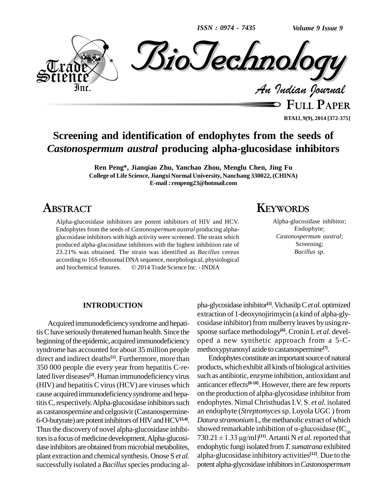*ISSN : 0974 - 7435*



**FULL PAPER BTAIJ, 9(9), 2014 [372-375]**

# **Screening and identification of endophytes from the seeds of** *Castonospermum austral* **producing alpha-glucosidase inhibitors**

**Ren Peng\*, Jianqiao Zhu, Yanchao Zhou, Menglu Chen, Jing Fu College of Life Science, Jiangxi Normal University, Nanchang 330022, (CHINA) E-mail : [renpeng23@hotmail.com](mailto:renpeng23@hotmail.com)**

## **ABSTRACT**

Alpha-glucosidase inhibitors are potent inhibitors of HIV and HCV. Endophytes from the seeds of *Castonospermum austral* producing alpha glucosidase inhibitors with high activity were screened. The strain which produced alpha-glucosidase inhibitors with the highest inhibition rate of 23.21% was obtained. The strain was identified as *Bacillus* cereus<br>according to 16S ribosomal DNA sequence, morphological, physiological<br>and biochemical features. © 2014 Trade Science Inc. - INDIA according to 16S ribosomal DNA sequence, morphological, physiological

## **KEYWORDS**

Alpha-glucosidase inhibitor; Endophyte; *Castonospermum austral*; Screening; *Bacillus sp.*

#### **INTRODUCTION**

Acquired immunodeficiencysyndrome and hepatitisChave seriouslythreatened human health. Since the beginning of the epidemic, acquired immunodeficiency syndrome has accounted for about 35 million people direct and indirect deaths<sup>[1]</sup>. Furthermore, more than Ene 350 000 people die every year from hepatitis C-related liver diseases<sup>[2]</sup>. Human immunodeficiency virus such  $(HIV)$  and hepatitis C virus  $(HCV)$  are viruses which cause acquired immunodeficiencysyndrome and hepatitis C, respectively. Alpha-glucosidase inhibitors such as castanospermine and celgosivir(Castanospermine- 6-O-butyrate) are potent inhibitors of HIV and HCV<sup>[3,4]</sup>. Thus the discovery of novel alpha-glucosidase inhibitors is a focus of medicine development. Alpha-glucosidase inhibitors are obtained from microbial metabolites, plant extraction and chemical synthesis. Onose S *et al.* successfully isolated a *Bacillus* species producing al-

pha-glycosidase inhibitor **[5]**.VichasilpC*etal.*optimized extraction of 1-deoxynojirimycin (a kind of alpha-gly cosidase inhibitor) from mulberry leaves by using re-<br>sponse surface methodology<sup>[6]</sup>. Cronin L *et al.* developed a new synthetic approach from a 5-C methoxypyranosyl azide to castanospermine **[7]**.

Endophytes constitute an important source of natural products, which exhibit all kinds of biological activities such as antibiotic, enzyme inhibition, antioxidant and anticancer effects **[8-10]**. However, there are few reports on the production of alpha-glycosidase inhibitor from endophytes. Nimal ChristhudasI.V. S. *et al.* isolated an endophyte (*Streptomyces*sp. Loyola UGC ) from Datura *stramonium* L, the methanolic extract of which an endophyte (*Streptomyces* sp. Loyola UGC ) from<br>*Datura stramonium* L, the methanolic extract of which<br>showed remarkable inhibition of  $\alpha$ -glucosidase (IC<sub>50</sub> *Datura stramonium* L, the m<br>showed remarkable inhibiti<br>730.21 ± 1.33 µg/ml)<sup>[11]</sup>. Art  $[730.21 \pm 1.33 \,\mu\text{g/ml}]^{[11]}$ . Artanti N *et al.* reported that endophytic fungi isolated from *T. sumatrana* exhibited alpha-glucosidase inhibitory activities **[12]**. Due to the potent alpha-glycosidaseinhibitorsin*Castonospermum*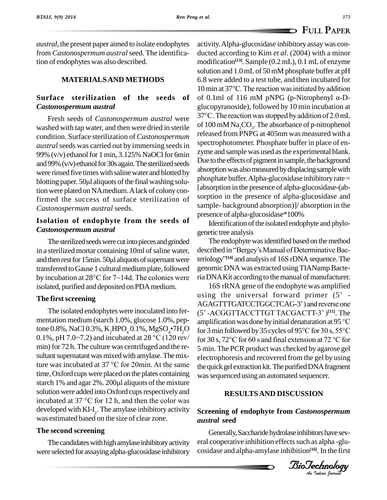**FULL PAPER**

*austral*, the present paper aimed to isolate endophytes from *Castonospermum austral*seed. The identification of endophytes was also described.

#### **MATERIALSAND METHODS**

## **Surface sterilization of the seeds of** *Castonospermum austral*

washed with tap water, and then were dried in sterile condition. Surface sterilization of *Castonospermum austral* seeds was carried out by immersing seeds in 99% (v/v) ethanol for 1 min,  $3.125\%$  NaOCl for 6min and 99% (v/v) ethanol for 30s again. The sterilized seeds<br>were rinsed five times with saline water and blotted by<br>blotting paper. 50µl aliquots of the final washing soluwere rinsed five times with saline water and blotted by tion were plated on NA medium. A lack of colony confirmed the success of surface sterilization of *Castonospermum austral* seeds.

### **Isolation of endophyte from the seeds of** *Castonospermum austral*

The sterilized seeds were cut into pieces and grinded The in a sterilized mortar containing 10ml of saline water, described and then rest for 15min. 50 $\mu$ l aliquots of supernant were teriolog in a sterilized mortar containing 10ml of saline water, transferred to Gause 1 cultural medium plate, followed and then rest for 15min. 50µl aliquots of supernant were<br>transferred to Gause 1 cultural medium plate, followed<br>by incubation at  $28^{\circ}$ C for  $7{\sim}14d$ . The colonies were isolated, purified and deposited on PDAmedium.

### **The** first screening

The isolated endophytes were inoculated into fer mentation medium (starch 1.0%, glucose 1.0%, pep-The isolated endophytes were inoculated into fer-<br>mentation medium (starch 1.0%, glucose 1.0%, pep-<br>tone 0.8%, NaCl 0.3%, K<sub>2</sub>HPO<sub>4</sub> 0.1%, MgSO<sub>4</sub>•7H<sub>2</sub>O for 3 min fc mentation medium (starch 1.0%, glucose 1.0%, pep-<br>tone 0.8%, NaCl 0.3%, K<sub>2</sub>HPO<sub>4</sub> 0.1%, MgSO<sub>4</sub>•7H<sub>2</sub>O<br>0.1%, pH 7.0~7.2) and incubated at 28 °C (120 rev/ min) for 72 h. The culture was centrifuged and the re-<br>sultant supernatant was mixed with amylase. The mix-<br>ture was incubated at 37 °C for 20min. At the same<br>the gu sultant supernatant was mixed with amylase. The mixtime, Oxford cups were placed on the plates containing ture was incubated at 37  $^{\circ}$ C for 20min. At the same time, Oxford cups were placed on the plates containing starch 1% and agar 2%. 200 $\mu$ l aliquots of the mixture solution were added into Oxford cups respectively and starch 1% and agar 2%. 200µl aliquots of the mixture<br>solution were added into Oxford cups respectively and<br>incubated at 37 °C for 12 h, and then the color was developed with KI-I<sub>2</sub>. The amylase inhibitory activity **Screer** was estimated based on the size of clear zone.

#### **The second screening**

The candidates with high amylase inhibitory activity were selected for assayingalpha-glucosidase inhibitory

Fresh seeds of *Castonospermum austral* were <sup>37°</sup>C. The reaction was stopped by addition of 2.0 mL activity.Alpha-glucosidase inhibitory assaywas con ducted according to Kim *et al*. (2004) with a minor modification **[13]**. Sample (0.2 mL), 0.1 mLof enzyme solution and 1.0 mL of 50 mM phosphate buffer at pH<br>6.8 were added to a test tube, and then incubated for<br>10 min at 37°C. The reaction was initiated by addition 6.8 were added to a test tube, and then incubated for 10 min at 37°C. The reaction was initiated by addition of 0.1ml of 116 mM pNPG (p-Nitrophenyl  $\alpha$ -Dglucopyranoside), followed by 10 min incubation at of 0.1ml of 116 mM pNPG (p-Nitrophenyl  $\alpha$ -Dof  $100 \text{ mM Na}_2\text{CO}_3$ . The absorbance of p-nitrophenol released from PNPG at 405nm was measured with a spectrophotometer. Phosphate buffer in place of en zyme and sample was used asthe experimental blank. Due to the effects of pigment in sample, the background absorption was also measured by displacing sample with  $phosphate buffer. Alpha-glucosidase inhibitory rate =$ [absorption in the presence of alpha-glucosidase-(ab sorption in the presence of alpha-glucosidase and sample- background absorption)]/ absorption in the presence of alpha-glucosidase\*100%

> Identification of the isolated endophyte and phylogenetic tree analysis

The endophyte was identified based on the method genetic tree analysis<br>The endophyte was identified based on the method<br>described in "Bergey's Manual of Determinative Bacdescribed in "Bergey's Manual of Determinative Bacteriology<sup>"[14]</sup> and analysis of 16S rDNA sequence. The genomic DNA was extracted using TIANamp Bacteria DNA Kit according to the manual of manufacturer.

16S rRNA gene of the endophyte was amplified ria DNA Kit according to the manual of manufacturer.<br>16S rRNA gene of the endophyte was amplified<br>using the universal forward primer (5' -16S rRNA gene of the endophyte was amplified<br>using the universal forward primer (5' -<br>AGAGTTTGATCCTGGCTCAG-3') and reverse one using the universal forward primer (5<sup>†</sup><br>AGAGTTTGATCCTGGCTCAG-3<sup>\*</sup>) and reverse on<br>(5<sup>\*</sup>-ACGGTTACCTTGT TACGACTT-3<sup>\*</sup>)<sup>[15]</sup>. Th (5' -ACGGTTACCTTGT TACGACTT-3' )<sup>[15]</sup>. The<br>amplification was done by initial denaturation at 95 °C<br>for 3 min followed by 35 cycles of 95°C for 30 s, 55°C AGAGTTTGATCCTGGCTCAG-3') and reverse one<br>(5' -ACGGTTACCTTGT TACGACTT-3')<sup>[15]</sup>. The<br>amplification was done by initial denaturation at 95 °C amplification was done by initial denaturation at 95 °C<br>for 3 min followed by 35 cycles of 95°C for 30 s, 55°C<br>for 30 s, 72°C for 60 s and final extension at 72 °C for 5 min. The PCR product was checked by agarose gel electrophoresis and recovered from the gel by using the quick gel extraction kit. The purified DNA fragment was sequenced using an automated sequencer.

# BioTechnologyBioTechnology**RESULTSAND DISCUSSION**

### **Screening of endophyte from** *Castonospermum austral* **seed**

Generally, Saccharide hydrolase inhibitors have several cooperative inhibition effects such as alpha-glucosidase and alpha-amylase inhibition **[16]**. In the first

*Indian Journal*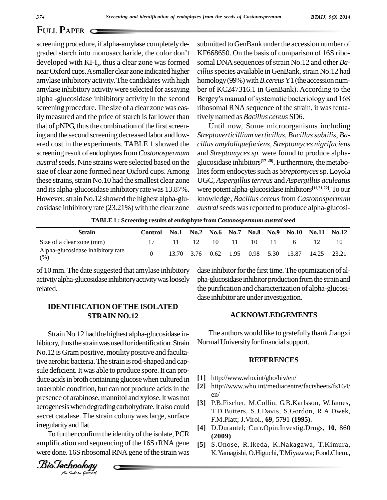# **FULL PAPER**

screening procedure, if alpha-amylase completely de graded starch into monosaccharide, the color don't developed with KI-I<sub>2</sub>, thus a clear zone was formed somal nearOxford cups.Asmaller clear zone indicated higher amylase inhibitory activity.The candidates with high amylase inhibitory activitywere selected for assaying screening procedure. The size of a clear zone was easily measured and the price of starch is far lower than that of pNPG, thus the combination of the first screening and the second screening decreased labor and low ered cost in the experiments. TABLE 1 showed the screening result of endophytes from *Castonospermum austral*seeds. Nine strains were selected based on the size of clear zone formed near Oxford cups.Among these strains, strain No.10 had the smallest clear zone and its alpha-glucosidase inhibitory rate was 13.87%. However, strain No.12 showed the highest alpha-glucosidase inhibitory rate (23.21%) with the clear zone

alpha -glucosidase inhibitory activity in the second Bergey's manual of systematic bacteriology and 16S submitted to GenBank under the accession number of KF668650. On the basis of comparison of 16S ribo somal DNA sequences of strain No.12 and other *Ba*cillus species available in GenBank, strain No.12 had homology (99%) with *B.cereus* Y1 (the accession num-<br>ber of KC247316.1 in GenBank). According to the<br>Bergey's manual of systematic bacteriology and 16S ber of KC247316.1 in GenBank). According to the ribosomal RNA sequence of the strain, it was tentatively named as *Bacillus cereus* SD6.

> Until now, Some microorganisms including  $S$ *treptoverticillium* verticillus, Bacillus subtilis, Ba*cillus amyloliquefaciens*, *Streptomyces nigrifaciens* and *Streptomyces sp.* were found to produce alpha glucosidase inhibitors **[17-20]**. Furthermore, the metabolites form endocytes such as *Streptomyces* sp. Loyola UGC, *Aspergillusterreus* and *Aspergillus aculeatus* were potent alpha-glucosidase inhibitors **[11,21,22]**.To our knowledge, *Bacillus cereus*from *Castonospermum* austral seeds was reported to produce alpha-glucosi-

**TABLE 1 : Screening results of endophyte from** *Castonospermum austral***seed**

| <b>Strain</b>                            | Control | <b>No.1</b> |                      | $No.2\quad No.6$ | <b>No.7</b> | No.8 No.9 |              | No.10 No.11 No.12 |             |
|------------------------------------------|---------|-------------|----------------------|------------------|-------------|-----------|--------------|-------------------|-------------|
| Size of a clear zone (mm)                |         | 11          | 12                   | -10              | $\Box$      | 10.       | $\mathbf{H}$ |                   |             |
| Alpha-glucosidase inhibitory rate<br>(%) |         |             | 13.70 3.76 0.62 1.95 |                  |             | 0.98 5.30 |              | 13.87             | 14.25 23.21 |

of 10mm. The date suggested thatamylase inhibitory activityalpha-glucosidase inhibitoryactivitywasloosely related.

## **IDENTIFICATION OFTHE ISOLATED STRAIN NO.12**

 $B = \frac{B - B}{B}$  anaerooic condition, but can not produce acids in the  $B = \frac{B - B}{B}$ secret catalase. The strain colony was large, surface  $\overrightarrow{F}$ Strain No.12 had the highest alpha-glucosidase inhibitory, thus the strain was used for identification. Strain No.12 isGram positive, motility positive and facultative aerobic bacteria. The strain is rod-shaped and capsule deficient. It was able to produce spore. It can produce acids in broth containing glucose when cultured in  $\begin{bmatrix} 1 \end{bmatrix}$ <br>apparable condition but can not produce acids in the  $\begin{bmatrix} 2 \end{bmatrix}$ anaerobic condition, but can not produce acids in the aerogenesis when degrading carbohydrate. It also could irregularityand flat.

To further confirm the identity of the isolate, PCR amplification and sequencing of the 16S rRNA gene were done. 16S ribosomal RNA gene of the strain was



dase inhibitor for the first time. The optimization of alpha-glucosidase inhibitor production from the strain and the purification and characterization of alpha-glucosi dase inhibitor are under investigation.

#### **ACKNOWLEDGEMENTS**

The authors would like to gratefully thank Jiangxi Normal University for financial support.

#### **REFERENCES**

- **[1]** http://www.who.int/gho/hiv/en/
- **[2]** http://www.who.int/mediacentre/factsheets/fs164/ en/
- **[3]** P.B.Fischer, M.Collin, G.B.Karlsson, W.James, T.D.Butters, S.J.Davis, S.Gordon, R.A.Dwek, F.M.Platt; J.Virol., **69**, 5791 **(1995)**.
- **[4]** D.Durantel; Curr.Opin.Investig.Drugs, **10**, 860 **(2009)**.
- **[5]** S.Onose, R.Ikeda, K.Nakagawa, T.Kimura, K.Yamagishi,O.Higuchi,T.Miyazawa; Food.Chem.,